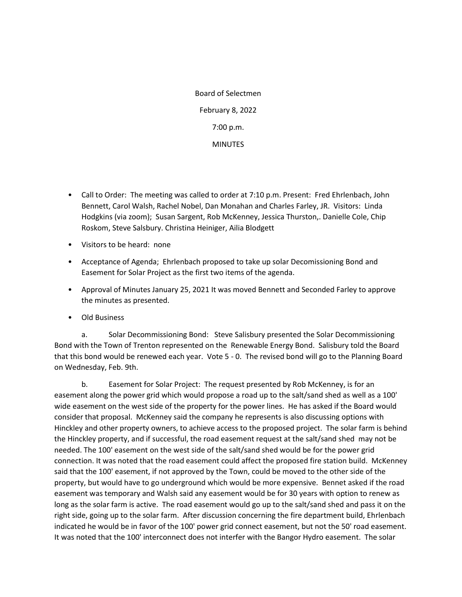Board of Selectmen February 8, 2022 7:00 p.m. **MINUTES** 

- Call to Order: The meeting was called to order at 7:10 p.m. Present: Fred Ehrlenbach, John Bennett, Carol Walsh, Rachel Nobel, Dan Monahan and Charles Farley, JR. Visitors: Linda Hodgkins (via zoom); Susan Sargent, Rob McKenney, Jessica Thurston,. Danielle Cole, Chip Roskom, Steve Salsbury. Christina Heiniger, Ailia Blodgett
- Visitors to be heard: none
- Acceptance of Agenda; Ehrlenbach proposed to take up solar Decomissioning Bond and Easement for Solar Project as the first two items of the agenda.
- Approval of Minutes January 25, 2021 It was moved Bennett and Seconded Farley to approve the minutes as presented.
- Old Business

a. Solar Decommissioning Bond: Steve Salisbury presented the Solar Decommissioning Bond with the Town of Trenton represented on the Renewable Energy Bond. Salisbury told the Board that this bond would be renewed each year. Vote 5 - 0. The revised bond will go to the Planning Board on Wednesday, Feb. 9th.

b. Easement for Solar Project: The request presented by Rob McKenney, is for an easement along the power grid which would propose a road up to the salt/sand shed as well as a 100' wide easement on the west side of the property for the power lines. He has asked if the Board would consider that proposal. McKenney said the company he represents is also discussing options with Hinckley and other property owners, to achieve access to the proposed project. The solar farm is behind the Hinckley property, and if successful, the road easement request at the salt/sand shed may not be needed. The 100' easement on the west side of the salt/sand shed would be for the power grid connection. It was noted that the road easement could affect the proposed fire station build. McKenney said that the 100' easement, if not approved by the Town, could be moved to the other side of the property, but would have to go underground which would be more expensive. Bennet asked if the road easement was temporary and Walsh said any easement would be for 30 years with option to renew as long as the solar farm is active. The road easement would go up to the salt/sand shed and pass it on the right side, going up to the solar farm. After discussion concerning the fire department build, Ehrlenbach indicated he would be in favor of the 100' power grid connect easement, but not the 50' road easement. It was noted that the 100' interconnect does not interfer with the Bangor Hydro easement. The solar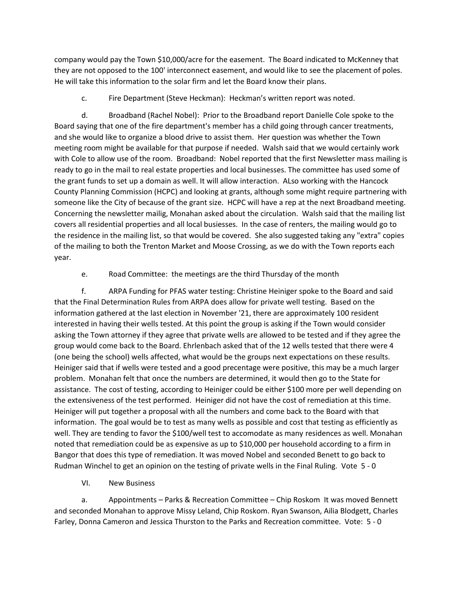company would pay the Town \$10,000/acre for the easement. The Board indicated to McKenney that they are not opposed to the 100' interconnect easement, and would like to see the placement of poles. He will take this information to the solar firm and let the Board know their plans.

## c. Fire Department (Steve Heckman): Heckman's written report was noted.

d. Broadband (Rachel Nobel): Prior to the Broadband report Danielle Cole spoke to the Board saying that one of the fire department's member has a child going through cancer treatments, and she would like to organize a blood drive to assist them. Her question was whether the Town meeting room might be available for that purpose if needed. Walsh said that we would certainly work with Cole to allow use of the room. Broadband: Nobel reported that the first Newsletter mass mailing is ready to go in the mail to real estate properties and local businesses. The committee has used some of the grant funds to set up a domain as well. It will allow interaction. ALso working with the Hancock County Planning Commission (HCPC) and looking at grants, although some might require partnering with someone like the City of because of the grant size. HCPC will have a rep at the next Broadband meeting. Concerning the newsletter mailig, Monahan asked about the circulation. Walsh said that the mailing list covers all residential properties and all local busiesses. In the case of renters, the mailing would go to the residence in the mailing list, so that would be covered. She also suggested taking any "extra" copies of the mailing to both the Trenton Market and Moose Crossing, as we do with the Town reports each year.

## e. Road Committee: the meetings are the third Thursday of the month

f. ARPA Funding for PFAS water testing: Christine Heiniger spoke to the Board and said that the Final Determination Rules from ARPA does allow for private well testing. Based on the information gathered at the last election in November '21, there are approximately 100 resident interested in having their wells tested. At this point the group is asking if the Town would consider asking the Town attorney if they agree that private wells are allowed to be tested and if they agree the group would come back to the Board. Ehrlenbach asked that of the 12 wells tested that there were 4 (one being the school) wells affected, what would be the groups next expectations on these results. Heiniger said that if wells were tested and a good precentage were positive, this may be a much larger problem. Monahan felt that once the numbers are determined, it would then go to the State for assistance. The cost of testing, according to Heiniger could be either \$100 more per well depending on the extensiveness of the test performed. Heiniger did not have the cost of remediation at this time. Heiniger will put together a proposal with all the numbers and come back to the Board with that information. The goal would be to test as many wells as possible and cost that testing as efficiently as well. They are tending to favor the \$100/well test to accomodate as many residences as well. Monahan noted that remediation could be as expensive as up to \$10,000 per household according to a firm in Bangor that does this type of remediation. It was moved Nobel and seconded Benett to go back to Rudman Winchel to get an opinion on the testing of private wells in the Final Ruling. Vote 5 - 0

## VI. New Business

a. Appointments – Parks & Recreation Committee – Chip Roskom It was moved Bennett and seconded Monahan to approve Missy Leland, Chip Roskom. Ryan Swanson, Ailia Blodgett, Charles Farley, Donna Cameron and Jessica Thurston to the Parks and Recreation committee. Vote: 5 - 0